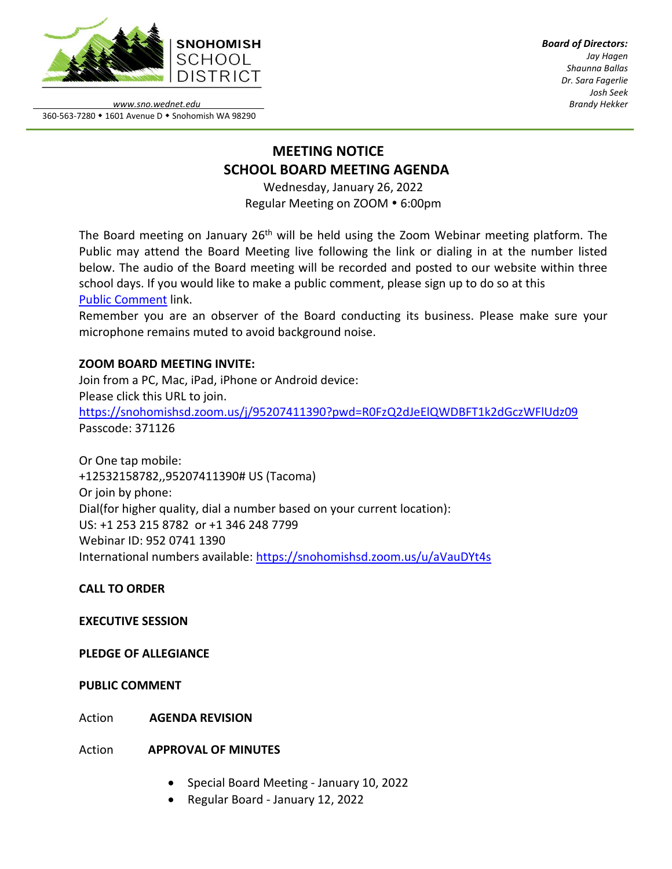

*Board of Directors: Jay Hagen Shaunna Ballas Dr. Sara Fagerlie Josh Seek Brandy Hekker*

*www.sno.wednet.edu* 360-563-7280 • 1601 Avenue D • Snohomish WA 98290

# **MEETING NOTICE SCHOOL BOARD MEETING AGENDA**

Wednesday, January 26, 2022 Regular Meeting on ZOOM . 6:00pm

The Board meeting on January 26<sup>th</sup> will be held using the Zoom Webinar meeting platform. The Public may attend the Board Meeting live following the link or dialing in at the number listed below. The audio of the Board meeting will be recorded and posted to our website within three school days. If you would like to make a public comment, please sign up to do so at this Public [Comment](https://www.sno.wednet.edu/site/Default.aspx?PageID=5004) link.

Remember you are an observer of the Board conducting its business. Please make sure your microphone remains muted to avoid background noise.

## **ZOOM BOARD MEETING INVITE:**

Join from a PC, Mac, iPad, iPhone or Android device: Please click this URL to join. <https://snohomishsd.zoom.us/j/95207411390?pwd=R0FzQ2dJeElQWDBFT1k2dGczWFlUdz09> Passcode: 371126

Or One tap mobile: +12532158782,,95207411390# US (Tacoma) Or join by phone: Dial(for higher quality, dial a number based on your current location): US: +1 253 215 8782 or +1 346 248 7799 Webinar ID: 952 0741 1390 International numbers available:<https://snohomishsd.zoom.us/u/aVauDYt4s>

**CALL TO ORDER**

**EXECUTIVE SESSION**

**PLEDGE OF ALLEGIANCE**

**PUBLIC COMMENT**

Action **AGENDA REVISION**

Action **APPROVAL OF MINUTES**

- Special Board Meeting January 10, 2022
- Regular Board January 12, 2022